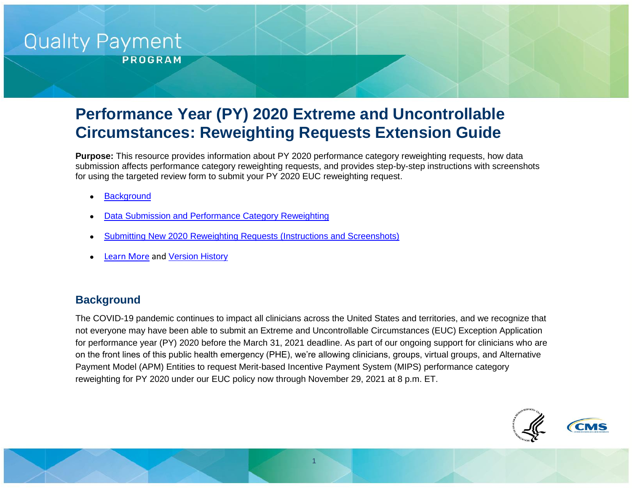# **Quality Payment**

**PROGRAM** 

# **Performance Year (PY) 2020 Extreme and Uncontrollable Circumstances: Reweighting Requests Extension Guide**

**Purpose:** This resource provides information about PY 2020 performance category reweighting requests, how data submission affects performance category reweighting requests, and provides step-by-step instructions with screenshots for using the targeted review form to submit your PY 2020 EUC reweighting request.

- **[Background](#page-0-0)**
- [Data Submission and Performance Category Reweighting](#page-2-0)
- [Submitting New 2020 Reweighting Requests \(Instructions and Screenshots\)](#page-3-0)
- [Learn More](#page-11-0) and [Version History](#page-11-1)

## <span id="page-0-0"></span>**Background**

The COVID-19 pandemic continues to impact all clinicians across the United States and territories, and we recognize that not everyone may have been able to submit an Extreme and Uncontrollable Circumstances (EUC) Exception Application for performance year (PY) 2020 before the March 31, 2021 deadline. As part of our ongoing support for clinicians who are on the front lines of this public health emergency (PHE), we're allowing clinicians, groups, virtual groups, and Alternative Payment Model (APM) Entities to request Merit-based Incentive Payment System (MIPS) performance category reweighting for PY 2020 under our EUC policy now through November 29, 2021 at 8 p.m. ET.

1

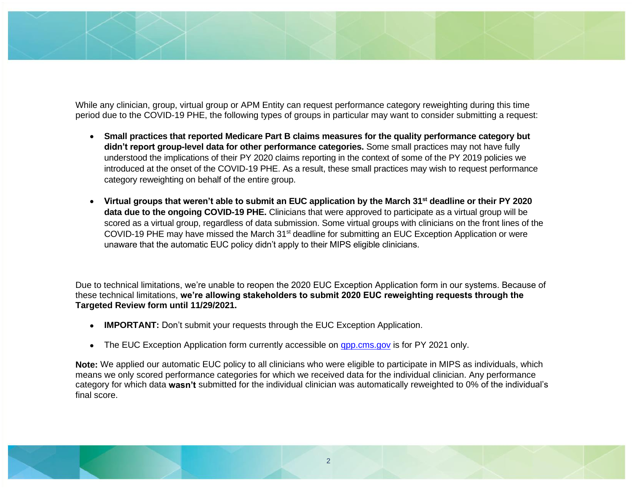While any clinician, group, virtual group or APM Entity can request performance category reweighting during this time period due to the COVID-19 PHE, the following types of groups in particular may want to consider submitting a request:

- **Small practices that reported Medicare Part B claims measures for the quality performance category but didn't report group-level data for other performance categories.** Some small practices may not have fully understood the implications of their PY 2020 claims reporting in the context of some of the PY 2019 policies we introduced at the onset of the COVID-19 PHE. As a result, these small practices may wish to request performance category reweighting on behalf of the entire group.
- **Virtual groups that weren't able to submit an EUC application by the March 31st deadline or their PY 2020 data due to the ongoing COVID-19 PHE.** Clinicians that were approved to participate as a virtual group will be scored as a virtual group, regardless of data submission. Some virtual groups with clinicians on the front lines of the COVID-19 PHE may have missed the March 31st deadline for submitting an EUC Exception Application or were unaware that the automatic EUC policy didn't apply to their MIPS eligible clinicians.

Due to technical limitations, we're unable to reopen the 2020 EUC Exception Application form in our systems. Because of these technical limitations, **we're allowing stakeholders to submit 2020 EUC reweighting requests through the Targeted Review form until 11/29/2021.**

- **IMPORTANT:** Don't submit your requests through the EUC Exception Application.
- The EUC Exception Application form currently accessible on [qpp.cms.gov](https://qpp.cms.gov/) is for PY 2021 only.

**Note:** We applied our automatic EUC policy to all clinicians who were eligible to participate in MIPS as individuals, which means we only scored performance categories for which we received data for the individual clinician. Any performance category for which data **wasn't** submitted for the individual clinician was automatically reweighted to 0% of the individual's final score.

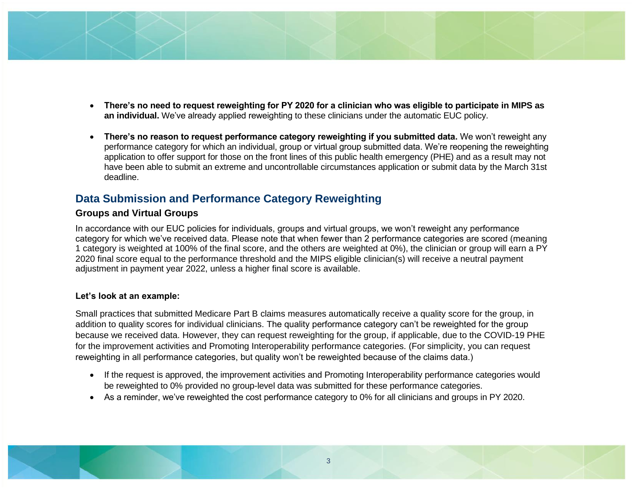- - **There's no need to request reweighting for PY 2020 for a clinician who was eligible to participate in MIPS as an individual.** We've already applied reweighting to these clinicians under the automatic EUC policy.
	- **There's no reason to request performance category reweighting if you submitted data.** We won't reweight any performance category for which an individual, group or virtual group submitted data. We're reopening the reweighting application to offer support for those on the front lines of this public health emergency (PHE) and as a result may not have been able to submit an extreme and uncontrollable circumstances application or submit data by the March 31st deadline.

# <span id="page-2-0"></span>**Data Submission and Performance Category Reweighting**

#### **Groups and Virtual Groups**

In accordance with our EUC policies for individuals, groups and virtual groups, we won't reweight any performance category for which we've received data. Please note that when fewer than 2 performance categories are scored (meaning 1 category is weighted at 100% of the final score, and the others are weighted at 0%), the clinician or group will earn a PY 2020 final score equal to the performance threshold and the MIPS eligible clinician(s) will receive a neutral payment adjustment in payment year 2022, unless a higher final score is available.

#### **Let's look at an example:**

Small practices that submitted Medicare Part B claims measures automatically receive a quality score for the group, in addition to quality scores for individual clinicians. The quality performance category can't be reweighted for the group because we received data. However, they can request reweighting for the group, if applicable, due to the COVID-19 PHE for the improvement activities and Promoting Interoperability performance categories. (For simplicity, you can request reweighting in all performance categories, but quality won't be reweighted because of the claims data.)

- If the request is approved, the improvement activities and Promoting Interoperability performance categories would be reweighted to 0% provided no group-level data was submitted for these performance categories.
- As a reminder, we've reweighted the cost performance category to 0% for all clinicians and groups in PY 2020.

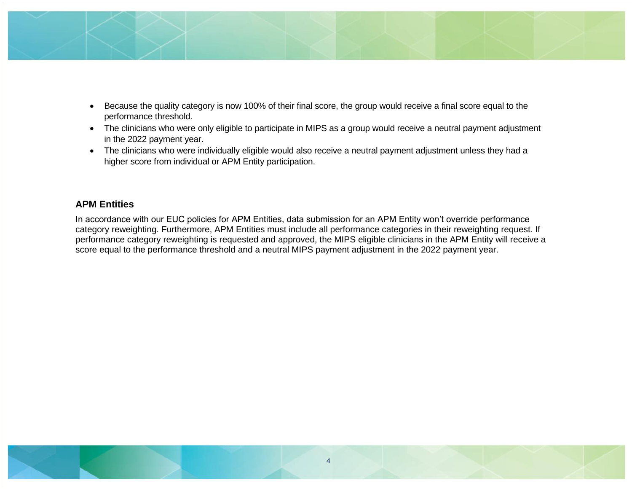

- Because the quality category is now 100% of their final score, the group would receive a final score equal to the performance threshold.
- The clinicians who were only eligible to participate in MIPS as a group would receive a neutral payment adjustment in the 2022 payment year.
- The clinicians who were individually eligible would also receive a neutral payment adjustment unless they had a higher score from individual or APM Entity participation.

#### **APM Entities**

<span id="page-3-0"></span>In accordance with our EUC policies for APM Entities, data submission for an APM Entity won't override performance category reweighting. Furthermore, APM Entities must include all performance categories in their reweighting request. If performance category reweighting is requested and approved, the MIPS eligible clinicians in the APM Entity will receive a score equal to the performance threshold and a neutral MIPS payment adjustment in the 2022 payment year.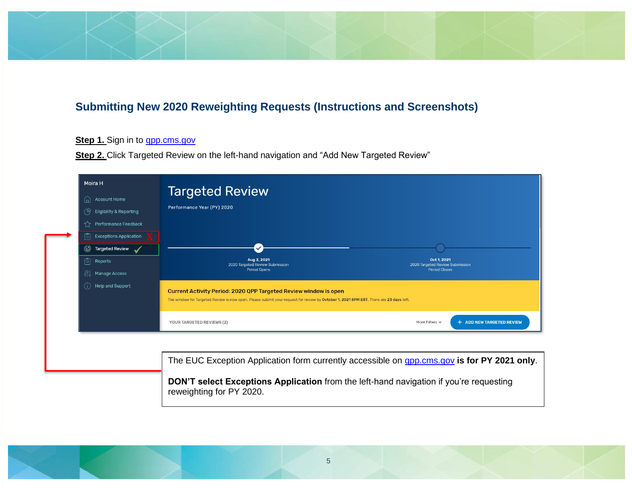# **Submitting New 2020 Reweighting Requests (Instructions and Screenshots)**

#### **Step 1.** Sign in to **qpp.cms.gov**

**Step 2.** Click Targeted Review on the left-hand navigation and "Add New Targeted Review"

| Moira H<br><b>Account Home</b><br>血<br>ල<br><b>Eligibility &amp; Reporting</b><br>Performance Feedback<br><b>Exceptions Application</b><br>l≔l<br>Targeted Review<br>虘<br>Reports<br>fi<br><b>Manage Access</b><br>Help and Support<br>(i) | <b>Targeted Review</b><br>Performance Year (PY) 2020<br>Aug 2, 2021<br>Oct 1, 2021<br>2020 Targeted Review Submission<br>2020 Targeted Review Submission<br>Period Opens<br><b>Period Closes</b><br><b>Current Activity Period: 2020 QPP Targeted Review window is open</b><br>The window for Targeted Review is now open. Please submit your request for review by October 1, 2021 8PM EST. There are 23 days left.<br>+ ADD NEW TARGETED REVIEW<br>More Filters v<br><b>YOUR TARGETED REVIEWS (2)</b> |
|--------------------------------------------------------------------------------------------------------------------------------------------------------------------------------------------------------------------------------------------|---------------------------------------------------------------------------------------------------------------------------------------------------------------------------------------------------------------------------------------------------------------------------------------------------------------------------------------------------------------------------------------------------------------------------------------------------------------------------------------------------------|
|                                                                                                                                                                                                                                            | The EUC Exception Application form currently accessible on <b>gpp.cms.gov is for PY 2021 only</b> .<br>DON'T select Exceptions Application from the left-hand navigation if you're requesting<br>reweighting for PY 2020.                                                                                                                                                                                                                                                                               |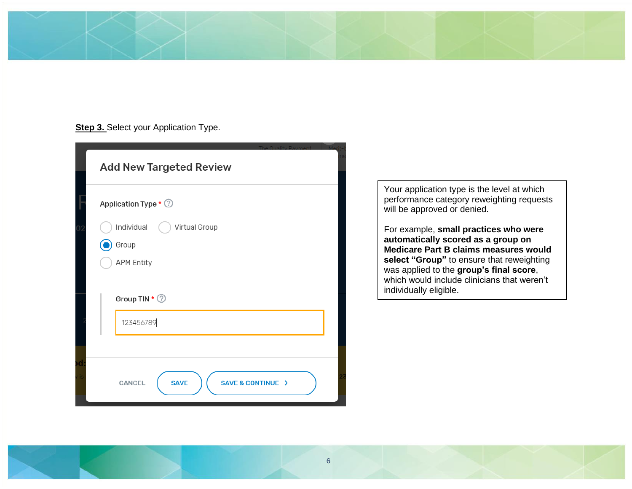#### **Step 3.** Select your Application Type.

|            | <b>Add New Targeted Review</b>             |  |
|------------|--------------------------------------------|--|
|            | Application Type * 2                       |  |
| 02         | Individual<br>Virtual Group<br>Group       |  |
|            | <b>APM Entity</b>                          |  |
|            | Group TIN * 2<br>123456789                 |  |
|            |                                            |  |
| od<br>v is | <b>SAVE</b><br>SAVE & CONTINUE ><br>CANCEL |  |

Your application type is the level at which performance category reweighting requests will be approved or denied.

For example, **small practices who were automatically scored as a group on Medicare Part B claims measures would select "Group"** to ensure that reweighting was applied to the **group's final score**, which would include clinicians that weren't individually eligible.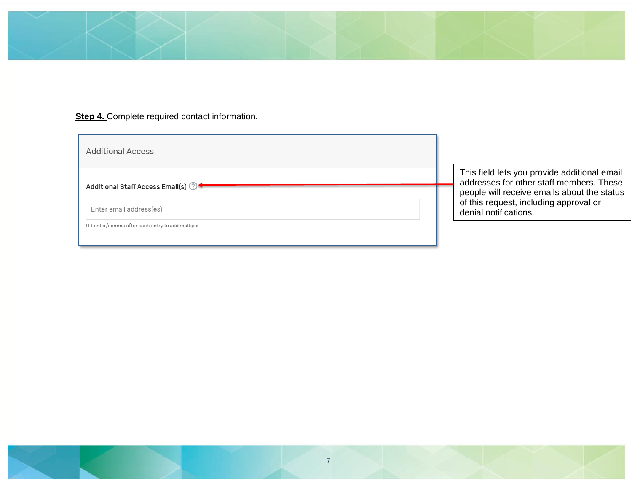

# **Step 4.** Complete required contact information.

| <b>Additional Access</b>                         |                                                                                                                |
|--------------------------------------------------|----------------------------------------------------------------------------------------------------------------|
| Additional Staff Access Email(s) 2               | This field lets you provide additional email<br>addresses for other staff members. These                       |
| Enter email address(es)                          | people will receive emails about the status<br>of this request, including approval or<br>denial notifications. |
| Hit enter/comma after each entry to add multiple |                                                                                                                |

7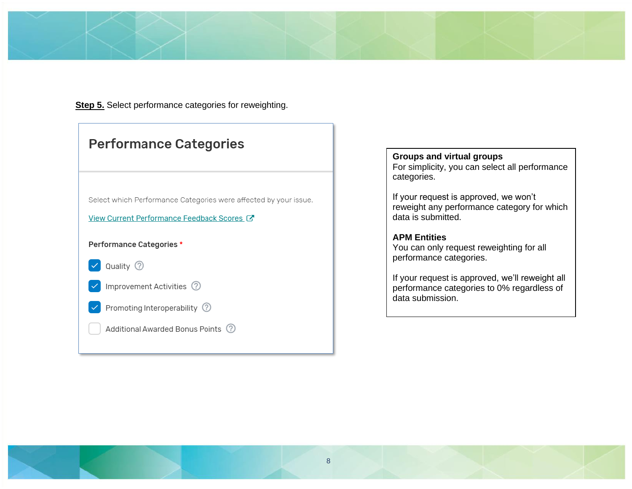

**Step 5.** Select performance categories for reweighting.

| <b>Performance Categories</b>                                    |  |  |
|------------------------------------------------------------------|--|--|
|                                                                  |  |  |
| Select which Performance Categories were affected by your issue. |  |  |
| View Current Performance Feedback Scores                         |  |  |
| Performance Categories *                                         |  |  |
| Quality 2                                                        |  |  |
| Improvement Activities (?)                                       |  |  |
| Promoting Interoperability 2                                     |  |  |
| Additional Awarded Bonus Points (?)                              |  |  |

**Groups and virtual groups**

For simplicity, you can select all performance categories.

If your request is approved, we won't reweight any performance category for which data is submitted.

#### **APM Entities**

You can only request reweighting for all performance categories.

If your request is approved, we'll reweight all performance categories to 0% regardless of data submission.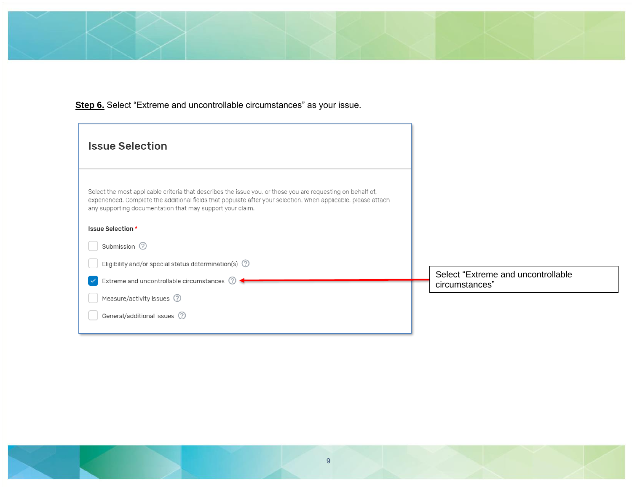

**Step 6.** Select "Extreme and uncontrollable circumstances" as your issue.

| <b>Issue Selection</b>                                                                                                                                                                                                                                                                     |                                                       |
|--------------------------------------------------------------------------------------------------------------------------------------------------------------------------------------------------------------------------------------------------------------------------------------------|-------------------------------------------------------|
| Select the most applicable criteria that describes the issue you, or those you are requesting on behalf of,<br>experienced. Complete the additional fields that populate after your selection. When applicable, please attach<br>any supporting documentation that may support your claim. |                                                       |
| Issue Selection *                                                                                                                                                                                                                                                                          |                                                       |
| Submission 2                                                                                                                                                                                                                                                                               |                                                       |
| Eligibility and/or special status determination(s) $\oslash$                                                                                                                                                                                                                               |                                                       |
| Extreme and uncontrollable circumstances 2                                                                                                                                                                                                                                                 | Select "Extreme and uncontrollable"<br>circumstances" |
| Measure/activity issues 2                                                                                                                                                                                                                                                                  |                                                       |
| General/additional issues 2                                                                                                                                                                                                                                                                |                                                       |
|                                                                                                                                                                                                                                                                                            |                                                       |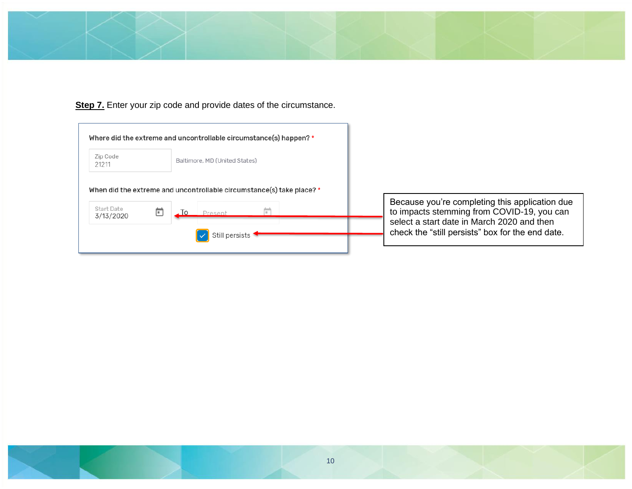

**Step 7.** Enter your zip code and provide dates of the circumstance.

| Zip Code<br>21211 | Baltimore, MD (United States)                                                               |
|-------------------|---------------------------------------------------------------------------------------------|
|                   |                                                                                             |
|                   |                                                                                             |
| <b>Start Date</b> | When did the extreme and uncontrollable circumstance(s) take place? *<br>ĪΟ<br>F<br>Present |

Because you're completing this application due to impacts stemming from COVID-19, you can select a start date in March 2020 and then check the "still persists" box for the end date.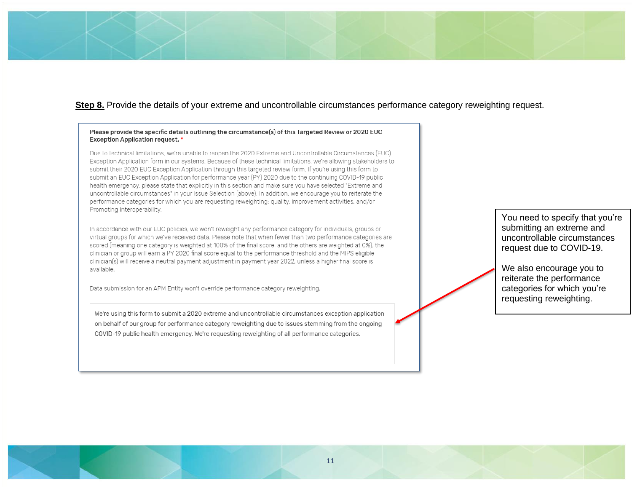#### **Step 8.** Provide the details of your extreme and uncontrollable circumstances performance category reweighting request.

#### Please provide the specific details outlining the circumstance(s) of this Targeted Review or 2020 EUC **Exception Application request.** \*

Due to technical limitations, we're unable to reopen the 2020 Extreme and Uncontrollable Circumstances (EUC) Exception Application form in our systems. Because of these technical limitations, we're allowing stakeholders to submit their 2020 EUC Exception Application through this targeted review form. If you're using this form to submit an EUC Exception Application for performance year (PY) 2020 due to the continuing COVID-19 public health emergency, please state that explicitly in this section and make sure you have selected "Extreme and uncontrollable circumstances" in your Issue Selection (above). In addition, we encourage you to reiterate the performance categories for which you are requesting reweighting: quality, improvement activities, and/or Promoting Interoperability.

In accordance with our EUC policies, we won't reweight any performance category for individuals, groups or virtual groups for which we've received data. Please note that when fewer than two performance categories are scored (meaning one category is weighted at 100% of the final score, and the others are weighted at 0%), the clinician or group will earn a PY 2020 final score equal to the performance threshold and the MIPS eligible clinician(s) will receive a neutral payment adjustment in payment year 2022, unless a higher final score is available.

Data submission for an APM Entity won't override performance category reweighting.

We're using this form to submit a 2020 extreme and uncontrollable circumstances exception application on behalf of our group for performance category reweighting due to issues stemming from the ongoing COVID-19 public health emergency. We're requesting reweighting of all performance categories.

You need to specify that you're submitting an extreme and uncontrollable circumstances request due to COVID-19.

We also encourage you to reiterate the performance categories for which you're requesting reweighting.